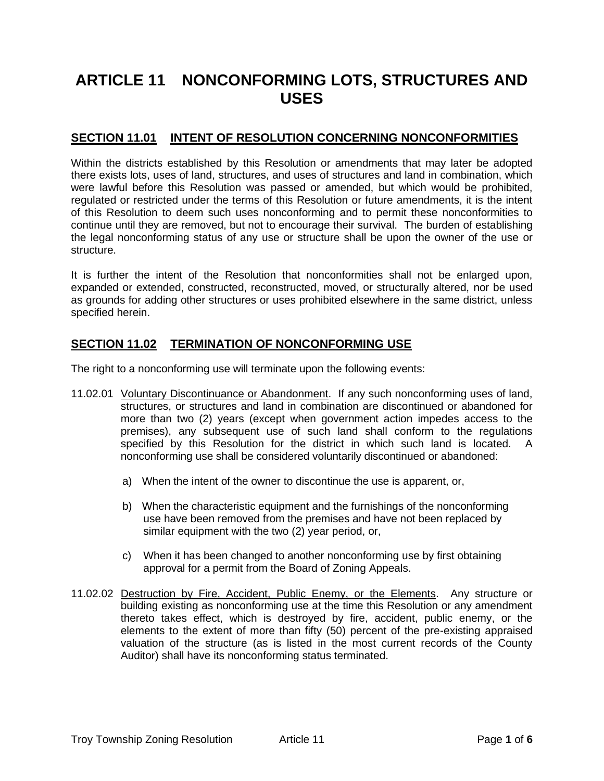# **ARTICLE 11 NONCONFORMING LOTS, STRUCTURES AND USES**

## **SECTION 11.01 INTENT OF RESOLUTION CONCERNING NONCONFORMITIES**

Within the districts established by this Resolution or amendments that may later be adopted there exists lots, uses of land, structures, and uses of structures and land in combination, which were lawful before this Resolution was passed or amended, but which would be prohibited, regulated or restricted under the terms of this Resolution or future amendments, it is the intent of this Resolution to deem such uses nonconforming and to permit these nonconformities to continue until they are removed, but not to encourage their survival. The burden of establishing the legal nonconforming status of any use or structure shall be upon the owner of the use or structure.

It is further the intent of the Resolution that nonconformities shall not be enlarged upon, expanded or extended, constructed, reconstructed, moved, or structurally altered, nor be used as grounds for adding other structures or uses prohibited elsewhere in the same district, unless specified herein.

### **SECTION 11.02 TERMINATION OF NONCONFORMING USE**

The right to a nonconforming use will terminate upon the following events:

- 11.02.01 Voluntary Discontinuance or Abandonment. If any such nonconforming uses of land, structures, or structures and land in combination are discontinued or abandoned for more than two (2) years (except when government action impedes access to the premises), any subsequent use of such land shall conform to the regulations specified by this Resolution for the district in which such land is located. A nonconforming use shall be considered voluntarily discontinued or abandoned:
	- a) When the intent of the owner to discontinue the use is apparent, or,
	- b) When the characteristic equipment and the furnishings of the nonconforming use have been removed from the premises and have not been replaced by similar equipment with the two (2) year period, or,
	- c) When it has been changed to another nonconforming use by first obtaining approval for a permit from the Board of Zoning Appeals.
- 11.02.02 Destruction by Fire, Accident, Public Enemy, or the Elements. Any structure or building existing as nonconforming use at the time this Resolution or any amendment thereto takes effect, which is destroyed by fire, accident, public enemy, or the elements to the extent of more than fifty (50) percent of the pre-existing appraised valuation of the structure (as is listed in the most current records of the County Auditor) shall have its nonconforming status terminated.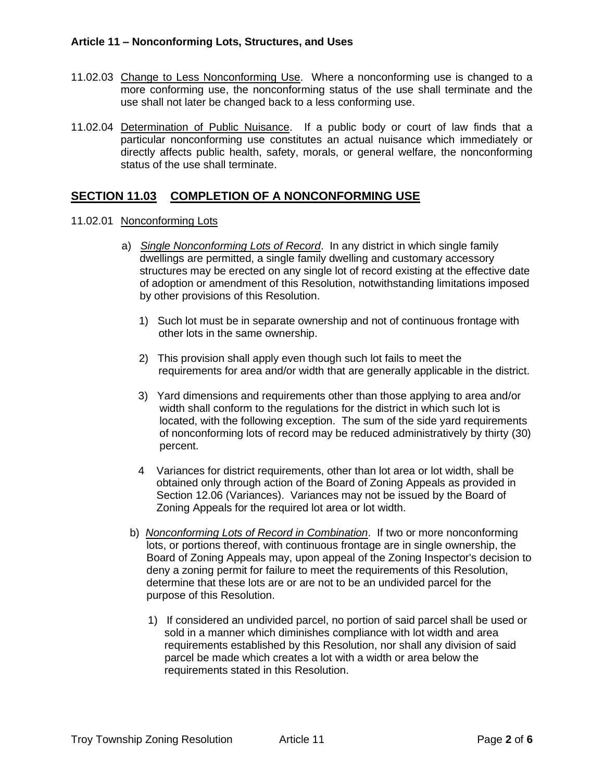- 11.02.03 Change to Less Nonconforming Use. Where a nonconforming use is changed to a more conforming use, the nonconforming status of the use shall terminate and the use shall not later be changed back to a less conforming use.
- 11.02.04 Determination of Public Nuisance. If a public body or court of law finds that a particular nonconforming use constitutes an actual nuisance which immediately or directly affects public health, safety, morals, or general welfare, the nonconforming status of the use shall terminate.

### **SECTION 11.03 COMPLETION OF A NONCONFORMING USE**

- 11.02.01 Nonconforming Lots
	- a) *Single Nonconforming Lots of Record*. In any district in which single family dwellings are permitted, a single family dwelling and customary accessory structures may be erected on any single lot of record existing at the effective date of adoption or amendment of this Resolution, notwithstanding limitations imposed by other provisions of this Resolution.
		- 1) Such lot must be in separate ownership and not of continuous frontage with other lots in the same ownership.
		- 2) This provision shall apply even though such lot fails to meet the requirements for area and/or width that are generally applicable in the district.
		- 3) Yard dimensions and requirements other than those applying to area and/or width shall conform to the regulations for the district in which such lot is located, with the following exception. The sum of the side yard requirements of nonconforming lots of record may be reduced administratively by thirty (30) percent.
		- 4 Variances for district requirements, other than lot area or lot width, shall be obtained only through action of the Board of Zoning Appeals as provided in Section 12.06 (Variances). Variances may not be issued by the Board of Zoning Appeals for the required lot area or lot width.
		- b) *Nonconforming Lots of Record in Combination*. If two or more nonconforming lots, or portions thereof, with continuous frontage are in single ownership, the Board of Zoning Appeals may, upon appeal of the Zoning Inspector's decision to deny a zoning permit for failure to meet the requirements of this Resolution, determine that these lots are or are not to be an undivided parcel for the purpose of this Resolution.
			- 1) If considered an undivided parcel, no portion of said parcel shall be used or sold in a manner which diminishes compliance with lot width and area requirements established by this Resolution, nor shall any division of said parcel be made which creates a lot with a width or area below the requirements stated in this Resolution.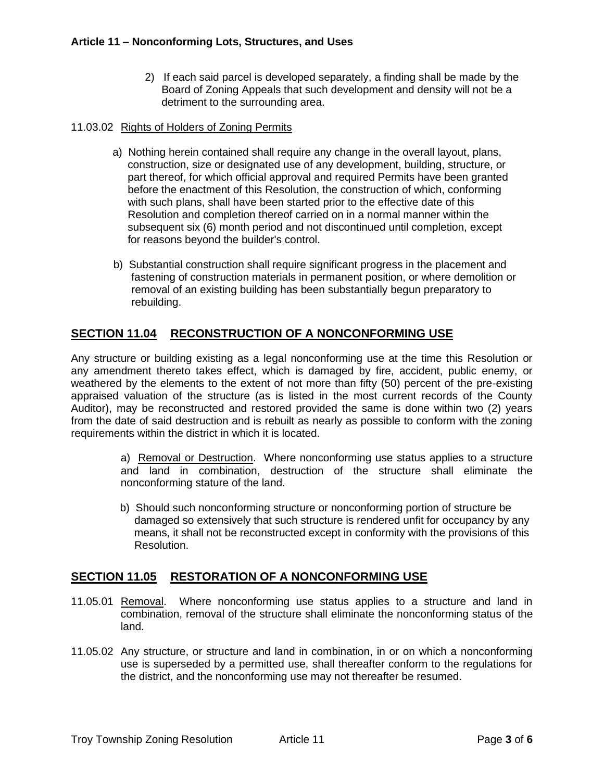2) If each said parcel is developed separately, a finding shall be made by the Board of Zoning Appeals that such development and density will not be a detriment to the surrounding area.

#### 11.03.02 Rights of Holders of Zoning Permits

- a) Nothing herein contained shall require any change in the overall layout, plans, construction, size or designated use of any development, building, structure, or part thereof, for which official approval and required Permits have been granted before the enactment of this Resolution, the construction of which, conforming with such plans, shall have been started prior to the effective date of this Resolution and completion thereof carried on in a normal manner within the subsequent six (6) month period and not discontinued until completion, except for reasons beyond the builder's control.
- b) Substantial construction shall require significant progress in the placement and fastening of construction materials in permanent position, or where demolition or removal of an existing building has been substantially begun preparatory to rebuilding.

# **SECTION 11.04 RECONSTRUCTION OF A NONCONFORMING USE**

Any structure or building existing as a legal nonconforming use at the time this Resolution or any amendment thereto takes effect, which is damaged by fire, accident, public enemy, or weathered by the elements to the extent of not more than fifty (50) percent of the pre-existing appraised valuation of the structure (as is listed in the most current records of the County Auditor), may be reconstructed and restored provided the same is done within two (2) years from the date of said destruction and is rebuilt as nearly as possible to conform with the zoning requirements within the district in which it is located.

> a) Removal or Destruction. Where nonconforming use status applies to a structure and land in combination, destruction of the structure shall eliminate the nonconforming stature of the land.

> b) Should such nonconforming structure or nonconforming portion of structure be damaged so extensively that such structure is rendered unfit for occupancy by any means, it shall not be reconstructed except in conformity with the provisions of this Resolution.

## **SECTION 11.05 RESTORATION OF A NONCONFORMING USE**

- 11.05.01 Removal. Where nonconforming use status applies to a structure and land in combination, removal of the structure shall eliminate the nonconforming status of the land.
- 11.05.02 Any structure, or structure and land in combination, in or on which a nonconforming use is superseded by a permitted use, shall thereafter conform to the regulations for the district, and the nonconforming use may not thereafter be resumed.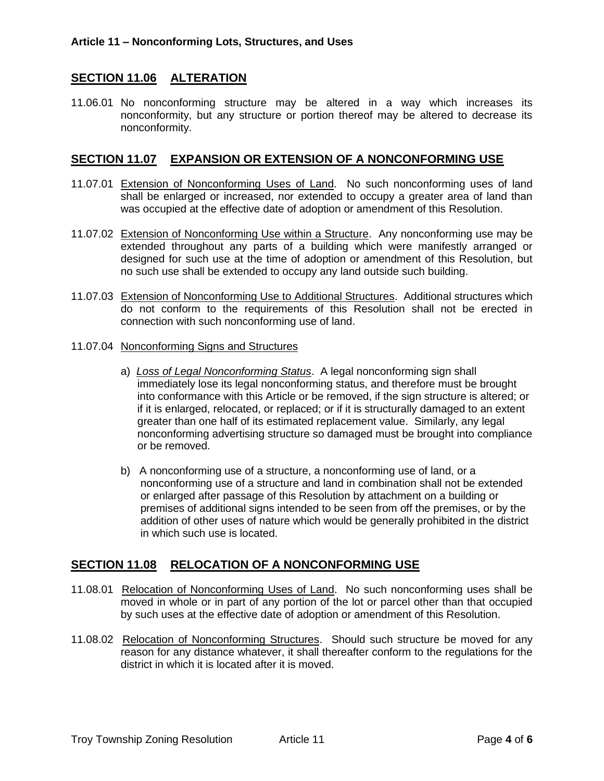## **SECTION 11.06 ALTERATION**

11.06.01 No nonconforming structure may be altered in a way which increases its nonconformity, but any structure or portion thereof may be altered to decrease its nonconformity.

### **SECTION 11.07 EXPANSION OR EXTENSION OF A NONCONFORMING USE**

- 11.07.01 Extension of Nonconforming Uses of Land. No such nonconforming uses of land shall be enlarged or increased, nor extended to occupy a greater area of land than was occupied at the effective date of adoption or amendment of this Resolution.
- 11.07.02 Extension of Nonconforming Use within a Structure. Any nonconforming use may be extended throughout any parts of a building which were manifestly arranged or designed for such use at the time of adoption or amendment of this Resolution, but no such use shall be extended to occupy any land outside such building.
- 11.07.03 Extension of Nonconforming Use to Additional Structures. Additional structures which do not conform to the requirements of this Resolution shall not be erected in connection with such nonconforming use of land.
- 11.07.04 Nonconforming Signs and Structures
	- a) *Loss of Legal Nonconforming Status*. A legal nonconforming sign shall immediately lose its legal nonconforming status, and therefore must be brought into conformance with this Article or be removed, if the sign structure is altered; or if it is enlarged, relocated, or replaced; or if it is structurally damaged to an extent greater than one half of its estimated replacement value. Similarly, any legal nonconforming advertising structure so damaged must be brought into compliance or be removed.
	- b) A nonconforming use of a structure, a nonconforming use of land, or a nonconforming use of a structure and land in combination shall not be extended or enlarged after passage of this Resolution by attachment on a building or premises of additional signs intended to be seen from off the premises, or by the addition of other uses of nature which would be generally prohibited in the district in which such use is located.

## **SECTION 11.08 RELOCATION OF A NONCONFORMING USE**

- 11.08.01 Relocation of Nonconforming Uses of Land. No such nonconforming uses shall be moved in whole or in part of any portion of the lot or parcel other than that occupied by such uses at the effective date of adoption or amendment of this Resolution.
- 11.08.02 Relocation of Nonconforming Structures. Should such structure be moved for any reason for any distance whatever, it shall thereafter conform to the regulations for the district in which it is located after it is moved.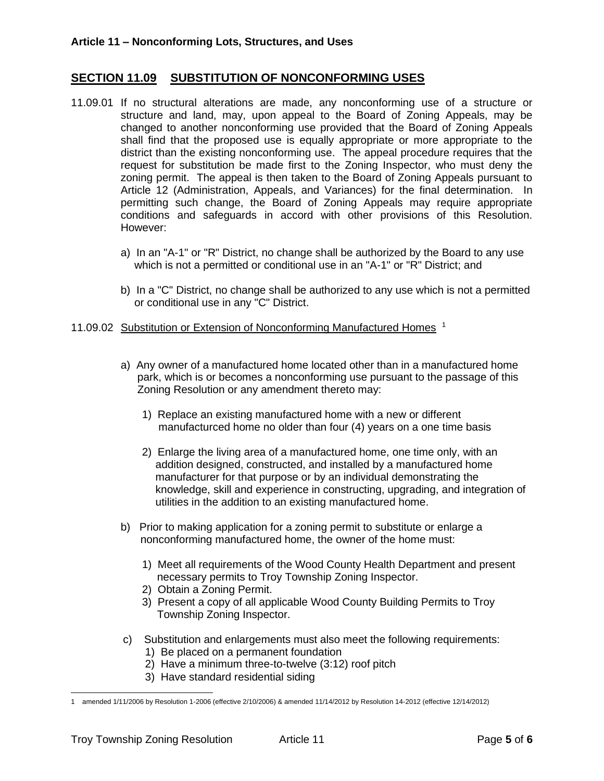### **SECTION 11.09 SUBSTITUTION OF NONCONFORMING USES**

- 11.09.01 If no structural alterations are made, any nonconforming use of a structure or structure and land, may, upon appeal to the Board of Zoning Appeals, may be changed to another nonconforming use provided that the Board of Zoning Appeals shall find that the proposed use is equally appropriate or more appropriate to the district than the existing nonconforming use. The appeal procedure requires that the request for substitution be made first to the Zoning Inspector, who must deny the zoning permit. The appeal is then taken to the Board of Zoning Appeals pursuant to Article 12 (Administration, Appeals, and Variances) for the final determination. In permitting such change, the Board of Zoning Appeals may require appropriate conditions and safeguards in accord with other provisions of this Resolution. However:
	- a) In an "A-1" or "R" District, no change shall be authorized by the Board to any use which is not a permitted or conditional use in an "A-1" or "R" District; and
	- b) In a "C" District, no change shall be authorized to any use which is not a permitted or conditional use in any "C" District.
- 11.09.02 Substitution or Extension of Nonconforming Manufactured Homes<sup>1</sup>
	- a) Any owner of a manufactured home located other than in a manufactured home park, which is or becomes a nonconforming use pursuant to the passage of this Zoning Resolution or any amendment thereto may:
		- 1) Replace an existing manufactured home with a new or different manufacturced home no older than four (4) years on a one time basis
		- 2) Enlarge the living area of a manufactured home, one time only, with an addition designed, constructed, and installed by a manufactured home manufacturer for that purpose or by an individual demonstrating the knowledge, skill and experience in constructing, upgrading, and integration of utilities in the addition to an existing manufactured home.
	- b) Prior to making application for a zoning permit to substitute or enlarge a nonconforming manufactured home, the owner of the home must:
		- 1) Meet all requirements of the Wood County Health Department and present necessary permits to Troy Township Zoning Inspector.
		- 2) Obtain a Zoning Permit.
		- 3) Present a copy of all applicable Wood County Building Permits to Troy Township Zoning Inspector.
	- c) Substitution and enlargements must also meet the following requirements:
		- 1) Be placed on a permanent foundation
		- 2) Have a minimum three-to-twelve (3:12) roof pitch
		- 3) Have standard residential siding

<sup>1</sup> amended 1/11/2006 by Resolution 1-2006 (effective 2/10/2006) & amended 11/14/2012 by Resolution 14-2012 (effective 12/14/2012)